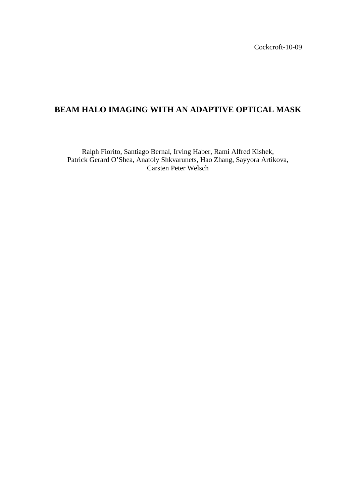Cockcroft-10-09

# **BEAM HALO IMAGING WITH AN ADAPTIVE OPTICAL MASK**

Ralph Fiorito, Santiago Bernal, Irving Haber, Rami Alfred Kishek, Patrick Gerard O'Shea, Anatoly Shkvarunets, Hao Zhang, Sayyora Artikova, Carsten Peter Welsch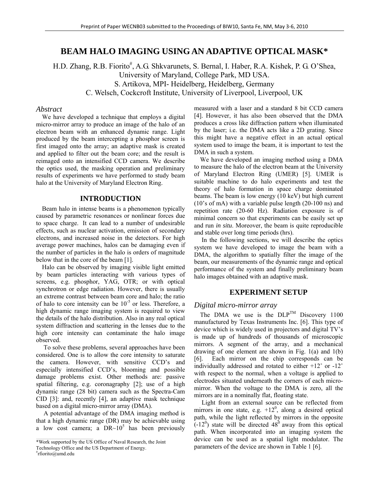# **BEAM HALO IMAGING USING AN ADAPTIVE OPTICAL MASK\***

H.D. Zhang, R.B. Fiorito<sup>#</sup>, A.G. Shkvarunets, S. Bernal, I. Haber, R.A. Kishek, P. G. O'Shea, University of Maryland, College Park, MD USA. S. Artikova, MPI- Heidelberg, Heidelberg, Germany C. Welsch, Cockcroft Institute, University of Liverpool, Liverpool, UK

#### *Abstract*

We have developed a technique that employs a digital micro-mirror array to produce an image of the halo of an electron beam with an enhanced dynamic range. Light produced by the beam intercepting a phosphor screen is first imaged onto the array; an adaptive mask is created and applied to filter out the beam core; and the result is reimaged onto an intensified CCD camera. We describe the optics used, the masking operation and preliminary results of experiments we have performed to study beam halo at the University of Maryland Electron Ring.

# **INTRODUCTION**

Beam halo in intense beams is a phenomenon typically caused by parametric resonances or nonlinear forces due to space charge. It can lead to a number of undesirable effects, such as nuclear activation, emission of secondary electrons, and increased noise in the detectors. For high average power machines, halos can be damaging even if the number of particles in the halo is orders of magnitude below that in the core of the beam [1].

Halo can be observed by imaging visible light emitted by beam particles interacting with various types of screens, e.g. phosphor, YAG, OTR; or with optical synchrotron or edge radiation. However, there is usually an extreme contrast between beam core and halo; the ratio of halo to core intensity can be  $10^{-5}$  or less. Therefore, a high dynamic range imaging system is required to view the details of the halo distribution. Also in any real optical system diffraction and scattering in the lenses due to the high core intensity can contaminate the halo image observed.

 To solve these problems, several approaches have been considered. One is to allow the core intensity to saturate the camera. However, with sensitive CCD's and especially intensified CCD's, blooming and possible damage problems exist. Other methods are: passive spatial filtering, e.g. coronagraphy [2]; use of a high dynamic range (28 bit) camera such as the Spectra-Cam CID [3]: and, recently [4], an adaptive mask technique based on a digital micro-mirror array (DMA).

 A potential advantage of the DMA imaging method is that a high dynamic range (DR) may be achievable using a low cost camera; a  $DR~10^5$  has been previously

measured with a laser and a standard 8 bit CCD camera [4]. However, it has also been observed that the DMA produces a cross like diffraction pattern when illuminated by the laser; i.e. the DMA acts like a 2D grating. Since this might have a negative effect in an actual optical system used to image the beam, it is important to test the DMA in such a system.

We have developed an imaging method using a DMA to measure the halo of the electron beam at the University of Maryland Electron Ring (UMER) [5]. UMER is suitable machine to do halo experiments and test the theory of halo formation in space charge dominated beams. The beam is low energy (10 keV) but high current (10's of mA) with a variable pulse length (20-100 ns) and repetition rate (20-60 Hz). Radiation exposure is of minimal concern so that experiments can be easily set up and run *in situ*. Moreover, the beam is quite reproducible and stable over long time periods (hrs).

 In the following sections, we will describe the optics system we have developed to image the beam with a DMA, the algorithm to spatially filter the image of the beam, our measurements of the dynamic range and optical performance of the system and finally preliminary beam halo images obtained with an adaptive mask.

#### **EXPERIMENT SETUP**

#### *Digital micro-mirror array*

The DMA we use is the  $DLP^{TM}$  Discovery 1100 manufactured by Texas Instruments Inc. [6]. This type of device which is widely used in projectors and digital TV's is made up of hundreds of thousands of microscopic mirrors. A segment of the array, and a mechanical drawing of one element are shown in Fig. 1(a) and 1(b) [6]. Each mirror on the chip corresponds can be individually addressed and rotated to either +12˚ or -12˚ with respect to the normal, when a voltage is applied to electrodes situated underneath the corners of each micromirror. When the voltage to the DMA is zero, all the mirrors are in a nominally flat, floating state.

 Light from an external source can be reflected from mirrors in one state, e.g.  $+12^0$ , along a desired optical path, while the light reflected by mirrors in the opposite  $(-12^0)$  state will be directed 48<sup>0</sup> away from this optical path. When incorporated into an imaging system the device can be used as a spatial light modulator. The parameters of the device are shown in Table 1 [6].

\_\_\_\_\_\_\_\_\_\_\_\_\_\_\_\_\_\_\_\_\_\_\_\_\_\_\_\_\_\_\_\_\_\_\_\_\_\_\_\_\_\_\_\_ \*Work supported by the US Office of Naval Research, the Joint

Technology Office and the US Department of Energy.

<sup>#</sup> rfiorito@umd.edu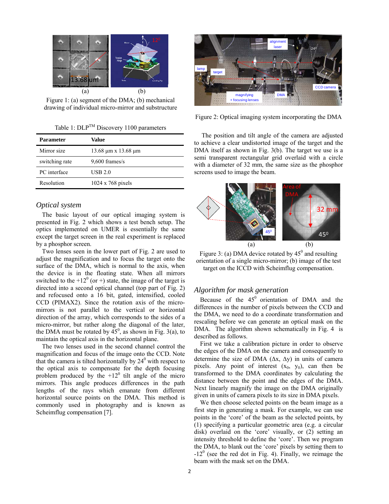

Figure 1: (a) segment of the DMA; (b) mechanical drawing of individual micro-mirror and substructure

Table 1:  $DLP^{TM}$  Discovery 1100 parameters

| <b>Parameter</b> | Value                            |
|------------------|----------------------------------|
| Mirror size      | $13.68 \mu m \times 13.68 \mu m$ |
| switching rate   | $9,600$ frames/s                 |
| PC interface     | USB 2.0                          |
| Resolution       | $1024 \times 768$ pixels         |

### *Optical system*

The basic layout of our optical imaging system is presented in Fig. 2 which shows a test bench setup. The optics implemented on UMER is essentially the same except the target screen in the real experiment is replaced by a phosphor screen.

Two lenses seen in the lower part of Fig. 2 are used to adjust the magnification and to focus the target onto the surface of the DMA, which is normal to the axis, when the device is in the floating state. When all mirrors switched to the  $+12^0$  (or +) state, the image of the target is directed into a second optical channel (top part of Fig. 2) and refocused onto a 16 bit, gated, intensified, cooled CCD (PIMAX2). Since the rotation axis of the micromirrors is not parallel to the vertical or horizontal direction of the array, which corresponds to the sides of a micro-mirror, but rather along the diagonal of the later, the DMA must be rotated by  $45^{\circ}$ , as shown in Fig. 3(a), to maintain the optical axis in the horizontal plane.

The two lenses used in the second channel control the magnification and focus of the image onto the CCD. Note that the camera is tilted horizontally by  $24^{\circ}$  with respect to the optical axis to compensate for the depth focusing problem produced by the  $+12<sup>0</sup>$  tilt angle of the micro mirrors. This angle produces differences in the path lengths of the rays which emanate from different horizontal source points on the DMA. This method is commonly used in photography and is known as Scheimflug compensation [7].



Figure 2: Optical imaging system incorporating the DMA

 The position and tilt angle of the camera are adjusted to achieve a clear undistorted image of the target and the DMA itself as shown in Fig. 3(b). The target we use is a semi transparent rectangular grid overlaid with a circle with a diameter of 32 mm, the same size as the phosphor screens used to image the beam.



Figure 3: (a) DMA device rotated by  $45^{\circ}$  and resulting orientation of a single micro-mirror; (b) image of the test target on the ICCD with Scheimflug compensation.

### *Algorithm for mask generation*

Because of the  $45^{\circ}$  orientation of DMA and the differences in the number of pixels between the CCD and the DMA, we need to do a coordinate transformation and rescaling before we can generate an optical mask on the DMA. The algorithm shown schematically in Fig. 4 is described as follows.

First we take a calibration picture in order to observe the edges of the DMA on the camera and consequently to determine the size of DMA  $(\Delta x, \Delta y)$  in units of camera pixels. Any point of interest  $(x_0, y_0)$ , can then be transformed to the DMA coordinates by calculating the distance between the point and the edges of the DMA. Next linearly magnify the image on the DMA originally given in units of camera pixels to its size in DMA pixels.

We then choose selected points on the beam image as a first step in generating a mask. For example, we can use points in the 'core' of the beam as the selected points, by (1) specifying a particular geometric area (e.g. a circular disk) overlaid on the 'core' visually, or (2) setting an intensity threshold to define the 'core'. Then we program the DMA, to blank out the 'core' pixels by setting them to  $-12<sup>0</sup>$  (see the red dot in Fig. 4). Finally, we reimage the beam with the mask set on the DMA.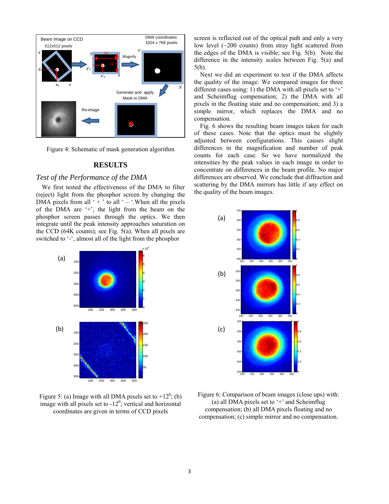

Figure 4: Schematic of mask generation algorithm

# **RESULTS**

#### *Test of the Performance of the DMA*

We first tested the effectiveness of the DMA to filter (reject) light from the phosphor screen by changing the DMA pixels from all ' $+$ ' to all ' $-$ '. When all the pixels of the DMA are '+', the light from the beam on the phosphor screen passes through the optics. We then integrate until the peak intensity approaches saturation on the CCD (64K counts); see Fig. 5(a). When all pixels are switched to '-', almost all of the light from the phosphor



Figure 5: (a) Image with all DMA pixels set to  $+12^0$ ; (b) image with all pixels set to  $-12^0$ ; vertical and horizontal coordinates are given in terms of CCD pixels

screen is reflected out of the optical path and only a very low level  $(\sim 200 \text{ counts})$  from stray light scattered from the edges of the DMA is visible; see Fig. 5(b). Note the difference in the intensity scales between Fig. 5(a) and 5(b).

Next we did an experiment to test if the DMA affects the quality of the image. We compared images for three different cases using: 1) the DMA with all pixels set to  $+$ and Scheimflug compensation; 2) the DMA with all pixels in the floating state and no compensation; and 3) a simple mirror, which replaces the DMA and no compensation.

Fig. 6 shows the resulting beam images taken for each of these cases. Note that the optics must be slightly adjusted between configurations. This causes slight differences in the magnification and number of peak counts for each case. So we have normalized the intensities by the peak values in each image in order to concentrate on differences in the beam profile. No major differences are observed. We conclude that diffraction and scattering by the DMA mirrors has little if any effect on the quality of the beam images.



Figure 6: Comparison of beam images (close ups) with: (a) all DMA pixels set to  $+$  and Scheimflug compensation; (b) all DMA pixels floating and no compensation; (c) simple mirror and no compensation.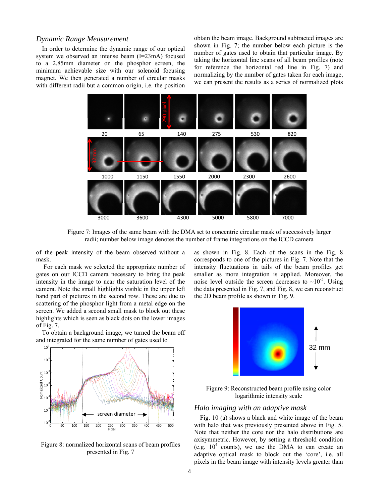## *Dynamic Range Measurement*

In order to determine the dynamic range of our optical system we observed an intense beam (I=23mA) focused to a 2.85mm diameter on the phosphor screen, the minimum achievable size with our solenoid focusing magnet. We then generated a number of circular masks with different radii but a common origin, i.e. the position

obtain the beam image. Background subtracted images are shown in Fig. 7; the number below each picture is the number of gates used to obtain that particular image. By taking the horizontal line scans of all beam profiles (note for reference the horizontal red line in Fig. 7) and normalizing by the number of gates taken for each image, we can present the results as a series of normalized plots



Figure 7: Images of the same beam with the DMA set to concentric circular mask of successively larger radii; number below image denotes the number of frame integrations on the ICCD camera

of the peak intensity of the beam observed without a mask.

 For each mask we selected the appropriate number of gates on our ICCD camera necessary to bring the peak intensity in the image to near the saturation level of the camera. Note the small highlights visible in the upper left hand part of pictures in the second row. These are due to scattering of the phosphor light from a metal edge on the screen. We added a second small mask to block out these highlights which is seen as black dots on the lower images of Fig. 7.

To obtain a background image, we turned the beam off and integrated for the same number of gates used to



Figure 8: normalized horizontal scans of beam profiles presented in Fig. 7

as shown in Fig. 8. Each of the scans in the Fig. 8 corresponds to one of the pictures in Fig. 7. Note that the intensity fluctuations in tails of the beam profiles get smaller as more integration is applied. Moreover, the noise level outside the screen decreases to  $\sim 10^{-5}$ . Using the data presented in Fig. 7, and Fig. 8, we can reconstruct the 2D beam profile as shown in Fig. 9.



Figure 9: Reconstructed beam profile using color logarithmic intensity scale

#### *Halo imaging with an adaptive mask*

Fig. 10 (a) shows a black and white image of the beam with halo that was previously presented above in Fig. 5. Note that neither the core nor the halo distributions are axisymmetric. However, by setting a threshold condition (e.g.  $10^4$  counts), we use the DMA to can create an adaptive optical mask to block out the 'core', i.e. all pixels in the beam image with intensity levels greater than